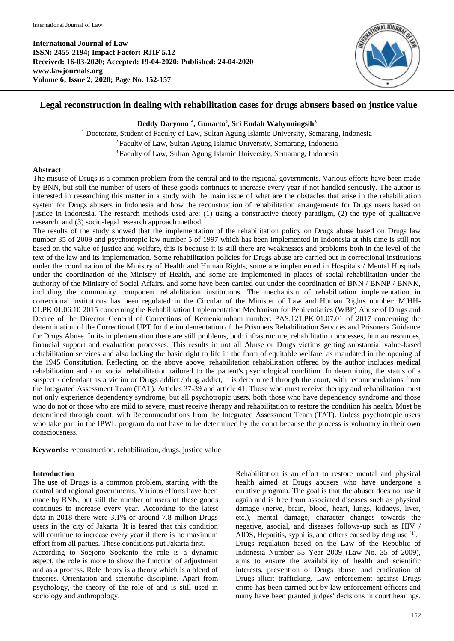

# **Legal reconstruction in dealing with rehabilitation cases for drugs abusers based on justice value**

# **Deddy Daryono1\* , Gunarto<sup>2</sup> , Sri Endah Wahyuningsih<sup>3</sup>**

<sup>1</sup> Doctorate, Student of Faculty of Law, Sultan Agung Islamic University, Semarang, Indonesia <sup>2</sup>Faculty of Law, Sultan Agung Islamic University, Semarang, Indonesia <sup>3</sup>Faculty of Law, Sultan Agung Islamic University, Semarang, Indonesia

### **Abstract**

The misuse of Drugs is a common problem from the central and to the regional governments. Various efforts have been made by BNN, but still the number of users of these goods continues to increase every year if not handled seriously. The author is interested in researching this matter in a study with the main issue of what are the obstacles that arise in the rehabilitation system for Drugs abusers in Indonesia and how the reconstruction of rehabilitation arrangements for Drugs users based on justice in Indonesia. The research methods used are: (1) using a constructive theory paradigm, (2) the type of qualitative research. and (3) socio-legal research approach method.

The results of the study showed that the implementation of the rehabilitation policy on Drugs abuse based on Drugs law number 35 of 2009 and psychotropic law number 5 of 1997 which has been implemented in Indonesia at this time is still not based on the value of justice and welfare, this is because it is still there are weaknesses and problems both in the level of the text of the law and its implementation. Some rehabilitation policies for Drugs abuse are carried out in correctional institutions under the coordination of the Ministry of Health and Human Rights, some are implemented in Hospitals / Mental Hospitals under the coordination of the Ministry of Health, and some are implemented in places of social rehabilitation under the authority of the Ministry of Social Affairs. and some have been carried out under the coordination of BNN / BNNP / BNNK, including the community component rehabilitation institutions. The mechanism of rehabilitation implementation in correctional institutions has been regulated in the Circular of the Minister of Law and Human Rights number: M.HH-01.PK.01.06.10 2015 concerning the Rehabilitation Implementation Mechanism for Penitentiaries (WBP) Abuse of Drugs and Decree of the Director General of Corrections of Kemenkumham number: PAS.121.PK.01.07.01 of 2017 concerning the determination of the Correctional UPT for the implementation of the Prisoners Rehabilitation Services and Prisoners Guidance for Drugs Abuse. In its implementation there are still problems, both infrastructure, rehabilitation processes, human resources, financial support and evaluation processes. This results in not all Abuse or Drugs victims getting substantial value-based rehabilitation services and also lacking the basic right to life in the form of equitable welfare, as mandated in the opening of the 1945 Constitution. Reflecting on the above above, rehabilitation rehabilitation offered by the author includes medical rehabilitation and / or social rehabilitation tailored to the patient's psychological condition. In determining the status of a suspect / defendant as a victim or Drugs addict / drug addict, it is determined through the court, with recommendations from the Integrated Assessment Team (TAT). Articles 37-39 and article 41. Those who must receive therapy and rehabilitation must not only experience dependency syndrome, but all psychotropic users, both those who have dependency syndrome and those who do not or those who are mild to severe, must receive therapy and rehabilitation to restore the condition his health. Must be determined through court, with Recommendations from the Integrated Assessment Team (TAT). Unless psychotropic users who take part in the IPWL program do not have to be determined by the court because the process is voluntary in their own consciousness.

**Keywords:** reconstruction, rehabilitation, drugs, justice value

# **Introduction**

The use of Drugs is a common problem, starting with the central and regional governments. Various efforts have been made by BNN, but still the number of users of these goods continues to increase every year. According to the latest data in 2018 there were 3.1% or around 7.8 million Drugs users in the city of Jakarta. It is feared that this condition will continue to increase every year if there is no maximum effort from all parties. These conditions put Jakarta first.

According to Soejono Soekanto the role is a dynamic aspect, the role is more to show the function of adjustment and as a process. Role theory is a theory which is a blend of theories. Orientation and scientific discipline. Apart from psychology, the theory of the role of and is still used in sociology and anthropology.

Rehabilitation is an effort to restore mental and physical health aimed at Drugs abusers who have undergone a curative program. The goal is that the abuser does not use it again and is free from associated diseases such as physical damage (nerve, brain, blood, heart, lungs, kidneys, liver, etc.), mental damage, character changes towards the negative, asocial, and diseases follows-up such as HIV / AIDS, Hepatitis, syphilis, and others caused by drug use [1]. Drugs regulation based on the Law of the Republic of Indonesia Number 35 Year 2009 (Law No. 35 of 2009), aims to ensure the availability of health and scientific interests, prevention of Drugs abuse, and eradication of Drugs illicit trafficking. Law enforcement against Drugs crime has been carried out by law enforcement officers and many have been granted judges' decisions in court hearings.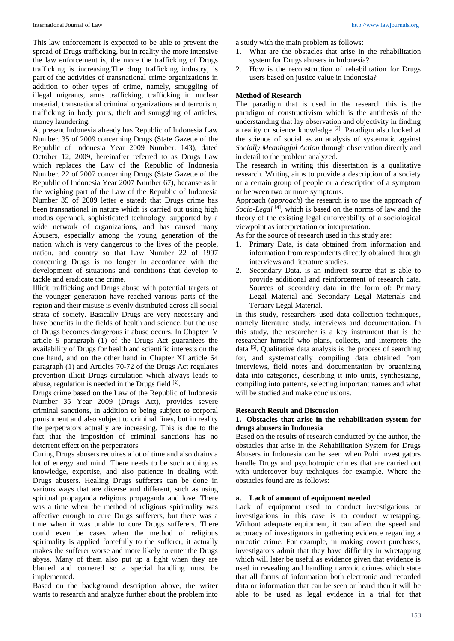This law enforcement is expected to be able to prevent the spread of Drugs trafficking, but in reality the more intensive the law enforcement is, the more the trafficking of Drugs trafficking is increasing.The drug trafficking industry, is part of the activities of transnational crime organizations in addition to other types of crime, namely, smuggling of illegal migrants, arms trafficking, trafficking in nuclear material, transnational criminal organizations and terrorism, trafficking in body parts, theft and smuggling of articles, money laundering.

At present Indonesia already has Republic of Indonesia Law Number. 35 of 2009 concerning Drugs (State Gazette of the Republic of Indonesia Year 2009 Number: 143), dated October 12, 2009, hereinafter referred to as Drugs Law which replaces the Law of the Republic of Indonesia Number. 22 of 2007 concerning Drugs (State Gazette of the Republic of Indonesia Year 2007 Number 67), because as in the weighing part of the Law of the Republic of Indonesia Number 35 of 2009 letter e stated: that Drugs crime has been transnational in nature which is carried out using high modus operandi, sophisticated technology, supported by a wide network of organizations, and has caused many Abusers, especially among the young generation of the nation which is very dangerous to the lives of the people, nation, and country so that Law Number 22 of 1997 concerning Drugs is no longer in accordance with the development of situations and conditions that develop to tackle and eradicate the crime.

Illicit trafficking and Drugs abuse with potential targets of the younger generation have reached various parts of the region and their misuse is evenly distributed across all social strata of society. Basically Drugs are very necessary and have benefits in the fields of health and science, but the use of Drugs becomes dangerous if abuse occurs. In Chapter IV article 9 paragraph (1) of the Drugs Act guarantees the availability of Drugs for health and scientific interests on the one hand, and on the other hand in Chapter XI article 64 paragraph (1) and Articles 70-72 of the Drugs Act regulates prevention illicit Drugs circulation which always leads to abuse, regulation is needed in the Drugs field [2].

Drugs crime based on the Law of the Republic of Indonesia Number 35 Year 2009 (Drugs Act), provides severe criminal sanctions, in addition to being subject to corporal punishment and also subject to criminal fines, but in reality the perpetrators actually are increasing. This is due to the fact that the imposition of criminal sanctions has no deterrent effect on the perpetrators.

Curing Drugs abusers requires a lot of time and also drains a lot of energy and mind. There needs to be such a thing as knowledge, expertise, and also patience in dealing with Drugs abusers. Healing Drugs sufferers can be done in various ways that are diverse and different, such as using spiritual propaganda religious propaganda and love. There was a time when the method of religious spirituality was affective enough to cure Drugs sufferers, but there was a time when it was unable to cure Drugs sufferers. There could even be cases when the method of religious spirituality is applied forcefully to the sufferer, it actually makes the sufferer worse and more likely to enter the Drugs abyss. Many of them also put up a fight when they are blamed and cornered so a special handling must be implemented.

Based on the background description above, the writer wants to research and analyze further about the problem into

a study with the main problem as follows:

- 1. What are the obstacles that arise in the rehabilitation system for Drugs abusers in Indonesia?
- 2. How is the reconstruction of rehabilitation for Drugs users based on justice value in Indonesia?

# **Method of Research**

The paradigm that is used in the research this is the paradigm of constructivism which is the antithesis of the understanding that lay observation and objectivity in finding a reality or science knowledge  $[3]$ . Paradigm also looked at the science of social as an analysis of systematic against *Socially Meaningful Action* through observation directly and in detail to the problem analyzed*.*

The research in writing this dissertation is a qualitative research. Writing aims to provide a description of a society or a certain group of people or a description of a symptom or between two or more symptoms.

Approach (*approach*) the research is to use the approach *of Socio-Legal* [4] , which is based on the norms of law and the theory of the existing legal enforceability of a sociological viewpoint as interpretation or interpretation.

As for the source of research used in this study are:

- 1. Primary Data, is data obtained from information and information from respondents directly obtained through interviews and literature studies.
- 2. Secondary Data, is an indirect source that is able to provide additional and reinforcement of research data. Sources of secondary data in the form of: Primary Legal Material and Secondary Legal Materials and Tertiary Legal Material.

In this study, researchers used data collection techniques, namely literature study, interviews and documentation. In this study, the researcher is a key instrument that is the researcher himself who plans, collects, and interprets the data <sup>[5]</sup>. Qualitative data analysis is the process of searching for, and systematically compiling data obtained from interviews, field notes and documentation by organizing data into categories, describing it into units, synthesizing, compiling into patterns, selecting important names and what will be studied and make conclusions.

# **Research Result and Discussion**

### **1. Obstacles that arise in the rehabilitation system for drugs abusers in Indonesia**

Based on the results of research conducted by the author, the obstacles that arise in the Rehabilitation System for Drugs Abusers in Indonesia can be seen when Polri investigators handle Drugs and psychotropic crimes that are carried out with undercover buy techniques for example. Where the obstacles found are as follows:

# **a. Lack of amount of equipment needed**

Lack of equipment used to conduct investigations or investigations in this case is to conduct wiretapping. Without adequate equipment, it can affect the speed and accuracy of investigators in gathering evidence regarding a narcotic crime. For example, in making covert purchases, investigators admit that they have difficulty in wiretapping which will later be useful as evidence given that evidence is used in revealing and handling narcotic crimes which state that all forms of information both electronic and recorded data or information that can be seen or heard then it will be able to be used as legal evidence in a trial for that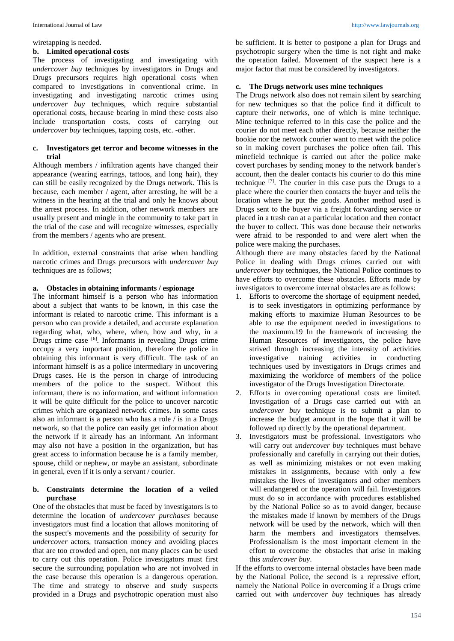#### wiretapping is needed.

#### **b. Limited operational costs**

The process of investigating and investigating with *undercover buy* techniques by investigators in Drugs and Drugs precursors requires high operational costs when compared to investigations in conventional crime. In investigating and investigating narcotic crimes using *undercover buy* techniques, which require substantial operational costs, because bearing in mind these costs also include transportation costs, costs of carrying out *undercover buy* techniques, tapping costs, etc. -other.

### **c. Investigators get terror and become witnesses in the trial**

Although members / infiltration agents have changed their appearance (wearing earrings, tattoos, and long hair), they can still be easily recognized by the Drugs network. This is because, each member / agent, after arresting, he will be a witness in the hearing at the trial and only he knows about the arrest process. In addition, other network members are usually present and mingle in the community to take part in the trial of the case and will recognize witnesses, especially from the members / agents who are present.

In addition, external constraints that arise when handling narcotic crimes and Drugs precursors with *undercover buy* techniques are as follows;

#### **a. Obstacles in obtaining informants / espionage**

The informant himself is a person who has information about a subject that wants to be known, in this case the informant is related to narcotic crime. This informant is a person who can provide a detailed, and accurate explanation regarding what, who, where, when, how and why, in a Drugs crime case [6]. Informants in revealing Drugs crime occupy a very important position, therefore the police in obtaining this informant is very difficult. The task of an informant himself is as a police intermediary in uncovering Drugs cases. He is the person in charge of introducing members of the police to the suspect. Without this informant, there is no information, and without information it will be quite difficult for the police to uncover narcotic crimes which are organized network crimes. In some cases also an informant is a person who has a role / is in a Drugs network, so that the police can easily get information about the network if it already has an informant. An informant may also not have a position in the organization, but has great access to information because he is a family member, spouse, child or nephew, or maybe an assistant, subordinate in general, even if it is only a servant / courier.

### **b. Constraints determine the location of a veiled purchase**

One of the obstacles that must be faced by investigators is to determine the location of *undercover purchases* because investigators must find a location that allows monitoring of the suspect's movements and the possibility of security for *undercover* actors, transaction money and avoiding places that are too crowded and open, not many places can be used to carry out this operation. Police investigators must first secure the surrounding population who are not involved in the case because this operation is a dangerous operation. The time and strategy to observe and study suspects provided in a Drugs and psychotropic operation must also

be sufficient. It is better to postpone a plan for Drugs and psychotropic surgery when the time is not right and make the operation failed. Movement of the suspect here is a major factor that must be considered by investigators.

## **c. The Drugs network uses mine techniques**

The Drugs network also does not remain silent by searching for new techniques so that the police find it difficult to capture their networks, one of which is mine technique. Mine technique referred to in this case the police and the courier do not meet each other directly, because neither the bookie nor the network courier want to meet with the police so in making covert purchases the police often fail. This minefield technique is carried out after the police make covert purchases by sending money to the network bander's account, then the dealer contacts his courier to do this mine technique  $[7]$ . The courier in this case puts the Drugs to a place where the courier then contacts the buyer and tells the location where he put the goods. Another method used is Drugs sent to the buyer via a freight forwarding service or placed in a trash can at a particular location and then contact the buyer to collect. This was done because their networks were afraid to be responded to and were alert when the police were making the purchases.

Although there are many obstacles faced by the National Police in dealing with Drugs crimes carried out with *undercover buy* techniques, the National Police continues to have efforts to overcome these obstacles. Efforts made by investigators to overcome internal obstacles are as follows:

- 1. Efforts to overcome the shortage of equipment needed, is to seek investigators in optimizing performance by making efforts to maximize Human Resources to be able to use the equipment needed in investigations to the maximum.19 In the framework of increasing the Human Resources of investigators, the police have strived through increasing the intensity of activities investigative training activities in conducting techniques used by investigators in Drugs crimes and maximizing the workforce of members of the police investigator of the Drugs Investigation Directorate.
- 2. Efforts in overcoming operational costs are limited. Investigation of a Drugs case carried out with an *undercover buy* technique is to submit a plan to increase the budget amount in the hope that it will be followed up directly by the operational department.
- 3. Investigators must be professional. Investigators who will carry out *undercover buy* techniques must behave professionally and carefully in carrying out their duties, as well as minimizing mistakes or not even making mistakes in assignments, because with only a few mistakes the lives of investigators and other members will endangered or the operation will fail. Investigators must do so in accordance with procedures established by the National Police so as to avoid danger, because the mistakes made if known by members of the Drugs network will be used by the network, which will then harm the members and investigators themselves. Professionalism is the most important element in the effort to overcome the obstacles that arise in making this *undercover buy*.

If the efforts to overcome internal obstacles have been made by the National Police, the second is a repressive effort, namely the National Police in overcoming if a Drugs crime carried out with *undercover buy* techniques has already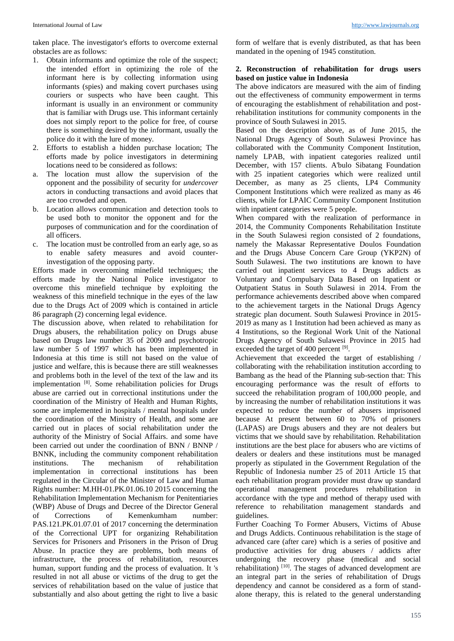taken place. The investigator's efforts to overcome external obstacles are as follows:

- 1. Obtain informants and optimize the role of the suspect; the intended effort in optimizing the role of the informant here is by collecting information using informants (spies) and making covert purchases using couriers or suspects who have been caught. This informant is usually in an environment or community that is familiar with Drugs use. This informant certainly does not simply report to the police for free, of course there is something desired by the informant, usually the police do it with the lure of money.
- 2. Efforts to establish a hidden purchase location; The efforts made by police investigators in determining locations need to be considered as follows:
- a. The location must allow the supervision of the opponent and the possibility of security for *undercover*  actors in conducting transactions and avoid places that are too crowded and open.
- b. Location allows communication and detection tools to be used both to monitor the opponent and for the purposes of communication and for the coordination of all officers.
- c. The location must be controlled from an early age, so as to enable safety measures and avoid counterinvestigation of the opposing party.

Efforts made in overcoming minefield techniques; the efforts made by the National Police investigator to overcome this minefield technique by exploiting the weakness of this minefield technique in the eyes of the law due to the Drugs Act of 2009 which is contained in article 86 paragraph (2) concerning legal evidence.

The discussion above, when related to rehabilitation for Drugs abusers, the rehabilitation policy on Drugs abuse based on Drugs law number 35 of 2009 and psychotropic law number 5 of 1997 which has been implemented in Indonesia at this time is still not based on the value of justice and welfare, this is because there are still weaknesses and problems both in the level of the text of the law and its implementation<sup>[8]</sup>. Some rehabilitation policies for Drugs abuse are carried out in correctional institutions under the coordination of the Ministry of Health and Human Rights, some are implemented in hospitals / mental hospitals under the coordination of the Ministry of Health, and some are carried out in places of social rehabilitation under the authority of the Ministry of Social Affairs. and some have been carried out under the coordination of BNN / BNNP / BNNK, including the community component rehabilitation institutions. The mechanism of rehabilitation implementation in correctional institutions has been regulated in the Circular of the Minister of Law and Human Rights number: M.HH-01.PK.01.06.10 2015 concerning the Rehabilitation Implementation Mechanism for Penitentiaries (WBP) Abuse of Drugs and Decree of the Director General of Corrections of Kemenkumham number: PAS.121.PK.01.07.01 of 2017 concerning the determination of the Correctional UPT for organizing Rehabilitation Services for Prisoners and Prisoners in the Prison of Drug Abuse. In practice they are problems, both means of infrastructure, the process of rehabilitation, resources human, support funding and the process of evaluation. It 's resulted in not all abuse or victims of the drug to get the services of rehabilitation based on the value of justice that substantially and also about getting the right to live a basic

form of welfare that is evenly distributed, as that has been mandated in the opening of 1945 constitution.

#### **2. Reconstruction of rehabilitation for drugs users based on justice value in Indonesia**

The above indicators are measured with the aim of finding out the effectiveness of community empowerment in terms of encouraging the establishment of rehabilitation and postrehabilitation institutions for community components in the province of South Sulawesi in 2015.

Based on the description above, as of June 2015, the National Drugs Agency of South Sulawesi Province has collaborated with the Community Component Institution, namely LPAB, with inpatient categories realized until December, with 157 clients. A'bulo Sibatang Foundation with 25 inpatient categories which were realized until December, as many as 25 clients, LP4 Community Component Institutions which were realized as many as 46 clients, while for LPAIC Community Component Institution with inpatient categories were 5 people.

When compared with the realization of performance in 2014, the Community Components Rehabilitation Institute in the South Sulawesi region consisted of 2 foundations, namely the Makassar Representative Doulos Foundation and the Drugs Abuse Concern Care Group (YKP2N) of South Sulawesi. The two institutions are known to have carried out inpatient services to 4 Drugs addicts as Voluntary and Compulsary Data Based on Inpatient or Outpatient Status in South Sulawesi in 2014. From the performance achievements described above when compared to the achievement targets in the National Drugs Agency strategic plan document. South Sulawesi Province in 2015- 2019 as many as 1 Institution had been achieved as many as 4 Institutions, so the Regional Work Unit of the National Drugs Agency of South Sulawesi Province in 2015 had exceeded the target of 400 percent [9].

Achievement that exceeded the target of establishing / collaborating with the rehabilitation institution according to Bambang as the head of the Planning sub-section that: This encouraging performance was the result of efforts to succeed the rehabilitation program of 100,000 people, and by increasing the number of rehabilitation institutions it was expected to reduce the number of abusers imprisoned because At present between 60 to 70% of prisoners (LAPAS) are Drugs abusers and they are not dealers but victims that we should save by rehabilitation. Rehabilitation institutions are the best place for abusers who are victims of dealers or dealers and these institutions must be managed properly as stipulated in the Government Regulation of the Republic of Indonesia number 25 of 2011 Article 15 that each rehabilitation program provider must draw up standard operational management procedures rehabilitation in accordance with the type and method of therapy used with reference to rehabilitation management standards and guidelines.

Further Coaching To Former Abusers, Victims of Abuse and Drugs Addicts. Continuous rehabilitation is the stage of advanced care (after care) which is a series of positive and productive activities for drug abusers / addicts after undergoing the recovery phase (medical and social rehabilitation)<sup>[10]</sup>. The stages of advanced development are an integral part in the series of rehabilitation of Drugs dependency and cannot be considered as a form of standalone therapy, this is related to the general understanding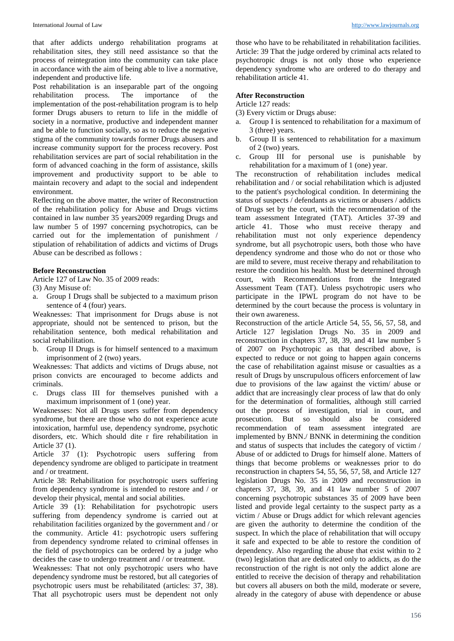that after addicts undergo rehabilitation programs at rehabilitation sites, they still need assistance so that the process of reintegration into the community can take place in accordance with the aim of being able to live a normative, independent and productive life.

Post rehabilitation is an inseparable part of the ongoing<br>rehabilitation process. The importance of the rehabilitation process. The importance of the implementation of the post-rehabilitation program is to help former Drugs abusers to return to life in the middle of society in a normative, productive and independent manner and be able to function socially, so as to reduce the negative stigma of the community towards former Drugs abusers and increase community support for the process recovery. Post rehabilitation services are part of social rehabilitation in the form of advanced coaching in the form of assistance, skills improvement and productivity support to be able to maintain recovery and adapt to the social and independent environment.

Reflecting on the above matter, the writer of Reconstruction of the rehabilitation policy for Abuse and Drugs victims contained in law number 35 years2009 regarding Drugs and law number 5 of 1997 concerning psychotropics, can be carried out for the implementation of punishment / stipulation of rehabilitation of addicts and victims of Drugs Abuse can be described as follows :

#### **Before Reconstruction**

Article 127 of Law No. 35 of 2009 reads:

- (3) Any Misuse of:
- a. Group I Drugs shall be subjected to a maximum prison sentence of 4 (four) years.

Weaknesses: That imprisonment for Drugs abuse is not appropriate, should not be sentenced to prison, but the rehabilitation sentence, both medical rehabilitation and social rehabilitation.

b. Group II Drugs is for himself sentenced to a maximum imprisonment of 2 (two) years.

Weaknesses: That addicts and victims of Drugs abuse, not prison convicts are encouraged to become addicts and criminals.

c. Drugs class III for themselves punished with a maximum imprisonment of 1 (one) year.

Weaknesses: Not all Drugs users suffer from dependency syndrome, but there are those who do not experience acute intoxication, harmful use, dependency syndrome, psychotic disorders, etc. Which should dite r fire rehabilitation in Article 37 (1).

Article 37 (1): Psychotropic users suffering from dependency syndrome are obliged to participate in treatment and / or treatment.

Article 38: Rehabilitation for psychotropic users suffering from dependency syndrome is intended to restore and / or develop their physical, mental and social abilities.

Article 39 (1): Rehabilitation for psychotropic users suffering from dependency syndrome is carried out at rehabilitation facilities organized by the government and / or the community. Article 41: psychotropic users suffering from dependency syndrome related to criminal offenses in the field of psychotropics can be ordered by a judge who decides the case to undergo treatment and / or treatment.

Weaknesses: That not only psychotropic users who have dependency syndrome must be restored, but all categories of psychotropic users must be rehabilitated (articles: 37, 38). That all psychotropic users must be dependent not only

those who have to be rehabilitated in rehabilitation facilities. Article: 39 That the judge ordered by criminal acts related to psychotropic drugs is not only those who experience dependency syndrome who are ordered to do therapy and rehabilitation article 41.

### **After Reconstruction**

Article 127 reads:

- (3) Every victim or Drugs abuse:
- Group I is sentenced to rehabilitation for a maximum of 3 (three) years.
- b. Group II is sentenced to rehabilitation for a maximum of 2 (two) years.
- c. Group III for personal use is punishable by rehabilitation for a maximum of 1 (one) year.

The reconstruction of rehabilitation includes medical rehabilitation and / or social rehabilitation which is adjusted to the patient's psychological condition. In determining the status of suspects / defendants as victims or abusers / addicts of Drugs set by the court, with the recommendation of the team assessment Integrated (TAT). Articles 37-39 and article 41. Those who must receive therapy and rehabilitation must not only experience dependency syndrome, but all psychotropic users, both those who have dependency syndrome and those who do not or those who are mild to severe, must receive therapy and rehabilitation to restore the condition his health. Must be determined through court, with Recommendations from the Integrated Assessment Team (TAT). Unless psychotropic users who participate in the IPWL program do not have to be determined by the court because the process is voluntary in their own awareness.

Reconstruction of the article Article 54, 55, 56, 57, 58, and Article 127 legislation Drugs No. 35 in 2009 and reconstruction in chapters 37, 38, 39, and 41 law number 5 of 2007 on Psychotropic as that described above, is expected to reduce or not going to happen again concerns the case of rehabilitation against misuse or casualties as a result of Drugs by unscrupulous officers enforcement of law due to provisions of the law against the victim/ abuse or addict that are increasingly clear process of law that do only for the determination of formalities, although still carried out the process of investigation, trial in court, and prosecution. But so should also be considered recommendation of team assessment integrated are implemented by BNN./ BNNK in determining the condition and status of suspects that includes the category of victim / Abuse of or addicted to Drugs for himself alone. Matters of things that become problems or weaknesses prior to do reconstruction in chapters 54, 55, 56, 57, 58, and Article 127 legislation Drugs No. 35 in 2009 and reconstruction in chapters 37, 38, 39, and 41 law number 5 of 2007 concerning psychotropic substances 35 of 2009 have been listed and provide legal certainty to the suspect party as a victim / Abuse or Drugs addict for which relevant agencies are given the authority to determine the condition of the suspect. In which the place of rehabilitation that will occupy it safe and expected to be able to restore the condition of dependency. Also regarding the abuse that exist within to 2 (two) legislation that are dedicated only to addicts, as do the reconstruction of the right is not only the addict alone are entitled to receive the decision of therapy and rehabilitation but covers all abusers on both the mild, moderate or severe, already in the category of abuse with dependence or abuse